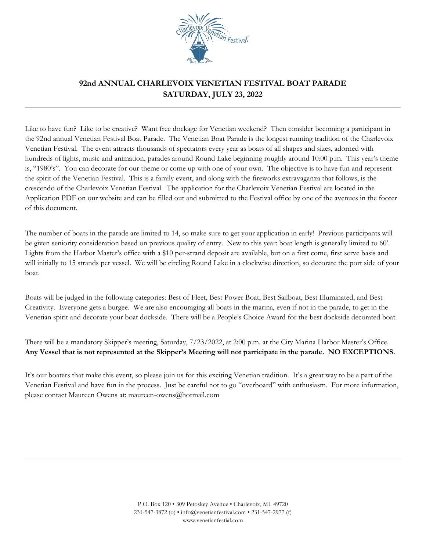

## **92nd ANNUAL CHARLEVOIX VENETIAN FESTIVAL BOAT PARADE SATURDAY, JULY 23, 2022**

Like to have fun? Like to be creative? Want free dockage for Venetian weekend? Then consider becoming a participant in the 92nd annual Venetian Festival Boat Parade. The Venetian Boat Parade is the longest running tradition of the Charlevoix Venetian Festival. The event attracts thousands of spectators every year as boats of all shapes and sizes, adorned with hundreds of lights, music and animation, parades around Round Lake beginning roughly around 10:00 p.m. This year's theme is, "1980's". You can decorate for our theme or come up with one of your own. The objective is to have fun and represent the spirit of the Venetian Festival. This is a family event, and along with the fireworks extravaganza that follows, is the crescendo of the Charlevoix Venetian Festival. The application for the Charlevoix Venetian Festival are located in the Application PDF on our website and can be filled out and submitted to the Festival office by one of the avenues in the footer of this document.

The number of boats in the parade are limited to 14, so make sure to get your application in early! Previous participants will be given seniority consideration based on previous quality of entry. New to this year: boat length is generally limited to 60'. Lights from the Harbor Master's office with a \$10 per-strand deposit are available, but on a first come, first serve basis and will initially to 15 strands per vessel. We will be circling Round Lake in a clockwise direction, so decorate the port side of your boat.

Boats will be judged in the following categories: Best of Fleet, Best Power Boat, Best Sailboat, Best Illuminated, and Best Creativity. Everyone gets a burgee. We are also encouraging all boats in the marina, even if not in the parade, to get in the Venetian spirit and decorate your boat dockside. There will be a People's Choice Award for the best dockside decorated boat.

There will be a mandatory Skipper's meeting, Saturday, 7/23/2022, at 2:00 p.m. at the City Marina Harbor Master's Office. **Any Vessel that is not represented at the Skipper's Meeting will not participate in the parade. NO EXCEPTIONS.**

It's our boaters that make this event, so please join us for this exciting Venetian tradition. It's a great way to be a part of the Venetian Festival and have fun in the process. Just be careful not to go "overboard" with enthusiasm. For more information, please contact Maureen Owens at: maureen-owens@hotmail.com